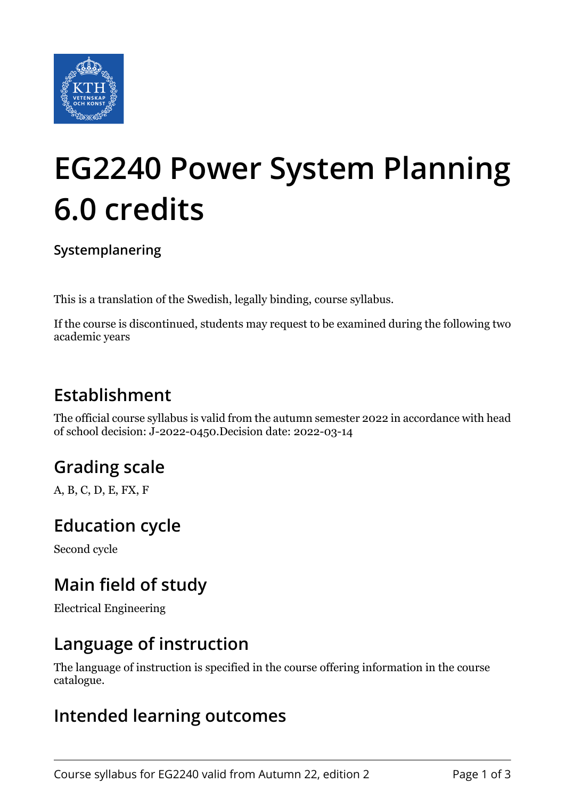

# **EG2240 Power System Planning 6.0 credits**

#### **Systemplanering**

This is a translation of the Swedish, legally binding, course syllabus.

If the course is discontinued, students may request to be examined during the following two academic years

## **Establishment**

The official course syllabus is valid from the autumn semester 2022 in accordance with head of school decision: J-2022-0450.Decision date: 2022-03-14

## **Grading scale**

A, B, C, D, E, FX, F

### **Education cycle**

Second cycle

## **Main field of study**

Electrical Engineering

#### **Language of instruction**

The language of instruction is specified in the course offering information in the course catalogue.

### **Intended learning outcomes**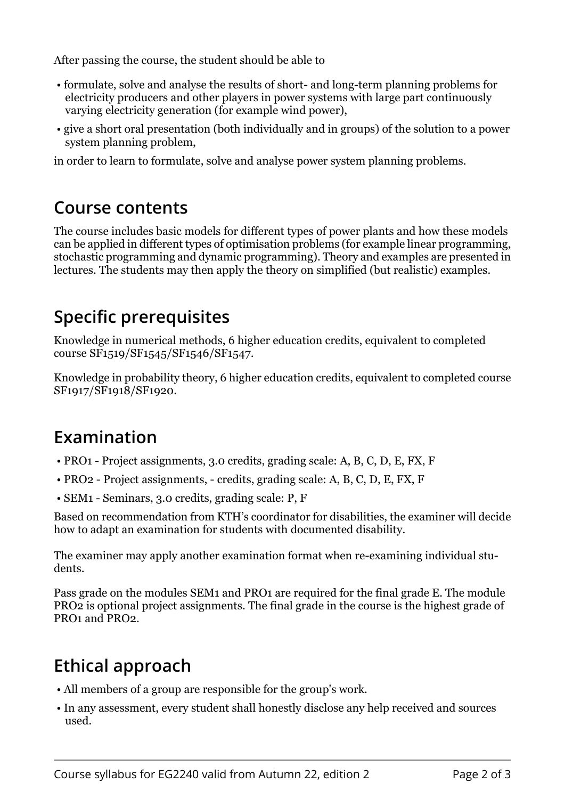After passing the course, the student should be able to

- formulate, solve and analyse the results of short- and long-term planning problems for electricity producers and other players in power systems with large part continuously varying electricity generation (for example wind power),
- give a short oral presentation (both individually and in groups) of the solution to a power system planning problem,

in order to learn to formulate, solve and analyse power system planning problems.

#### **Course contents**

The course includes basic models for different types of power plants and how these models can be applied in different types of optimisation problems (for example linear programming, stochastic programming and dynamic programming). Theory and examples are presented in lectures. The students may then apply the theory on simplified (but realistic) examples.

## **Specific prerequisites**

Knowledge in numerical methods, 6 higher education credits, equivalent to completed course SF1519/SF1545/SF1546/SF1547.

Knowledge in probability theory, 6 higher education credits, equivalent to completed course SF1917/SF1918/SF1920.

### **Examination**

- PRO1 Project assignments, 3.0 credits, grading scale: A, B, C, D, E, FX, F
- PRO2 Project assignments, credits, grading scale: A, B, C, D, E, FX, F
- SEM1 Seminars, 3.0 credits, grading scale: P, F

Based on recommendation from KTH's coordinator for disabilities, the examiner will decide how to adapt an examination for students with documented disability.

The examiner may apply another examination format when re-examining individual students.

Pass grade on the modules SEM1 and PRO1 are required for the final grade E. The module PRO2 is optional project assignments. The final grade in the course is the highest grade of PRO1 and PRO2.

## **Ethical approach**

- All members of a group are responsible for the group's work.
- In any assessment, every student shall honestly disclose any help received and sources used.